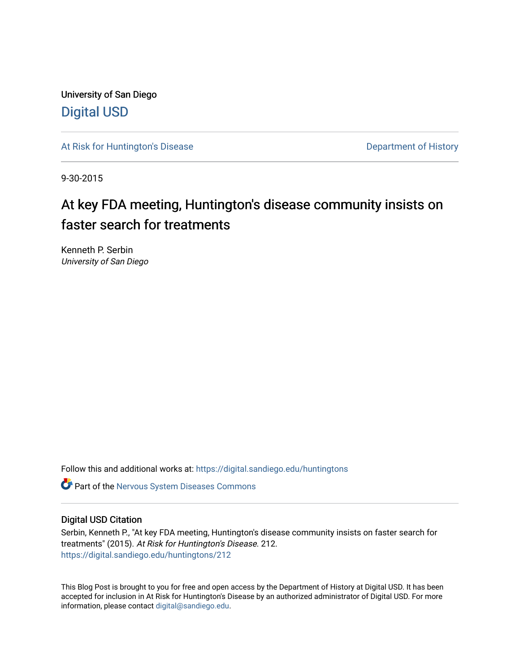University of San Diego [Digital USD](https://digital.sandiego.edu/)

[At Risk for Huntington's Disease](https://digital.sandiego.edu/huntingtons) **Department of History** Department of History

9-30-2015

# At key FDA meeting, Huntington's disease community insists on faster search for treatments

Kenneth P. Serbin University of San Diego

Follow this and additional works at: [https://digital.sandiego.edu/huntingtons](https://digital.sandiego.edu/huntingtons?utm_source=digital.sandiego.edu%2Fhuntingtons%2F212&utm_medium=PDF&utm_campaign=PDFCoverPages)

**C** Part of the [Nervous System Diseases Commons](http://network.bepress.com/hgg/discipline/928?utm_source=digital.sandiego.edu%2Fhuntingtons%2F212&utm_medium=PDF&utm_campaign=PDFCoverPages)

# Digital USD Citation

Serbin, Kenneth P., "At key FDA meeting, Huntington's disease community insists on faster search for treatments" (2015). At Risk for Huntington's Disease. 212. [https://digital.sandiego.edu/huntingtons/212](https://digital.sandiego.edu/huntingtons/212?utm_source=digital.sandiego.edu%2Fhuntingtons%2F212&utm_medium=PDF&utm_campaign=PDFCoverPages)

This Blog Post is brought to you for free and open access by the Department of History at Digital USD. It has been accepted for inclusion in At Risk for Huntington's Disease by an authorized administrator of Digital USD. For more information, please contact [digital@sandiego.edu.](mailto:digital@sandiego.edu)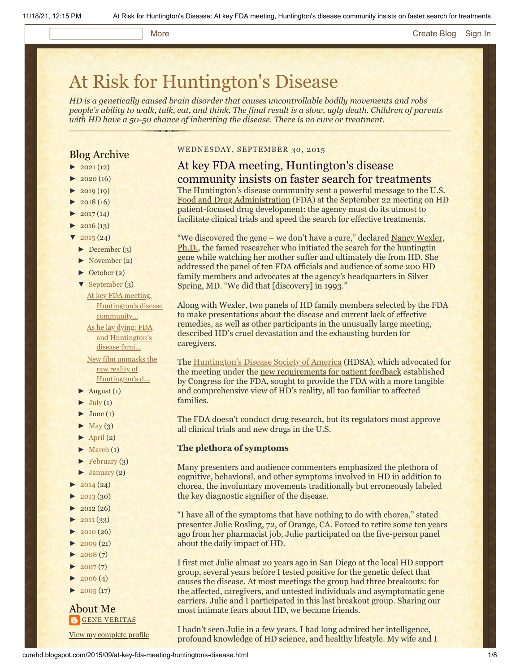# More **[Create Blog](https://www.blogger.com/home#create) [Sign In](https://www.blogger.com/)**

# [At Risk for Huntington's Disease](http://curehd.blogspot.com/)

*HD is a genetically caused brain disorder that causes uncontrollable bodily movements and robs people's ability to walk, talk, eat, and think. The final result is a slow, ugly death. Children of parents with HD have a 50-50 chance of inheriting the disease. There is no cure or treatment.*

# Blog Archive

- $\blacktriangleright$  [2021](http://curehd.blogspot.com/2021/) (12)
- $2020(16)$  $2020(16)$
- $2019(19)$  $2019(19)$
- $\blacktriangleright$  [2018](http://curehd.blogspot.com/2018/) (16)
- $2017(14)$  $2017(14)$
- $2016(13)$  $2016(13)$
- $\sqrt{2015(24)}$  $\sqrt{2015(24)}$  $\sqrt{2015(24)}$
- [►](javascript:void(0)) [December](http://curehd.blogspot.com/2015/12/) (3)
- [►](javascript:void(0)) [November](http://curehd.blogspot.com/2015/11/) (2)
- [►](javascript:void(0)) [October](http://curehd.blogspot.com/2015/10/) (2)
- [▼](javascript:void(0)) [September](http://curehd.blogspot.com/2015/09/) (3)
	- At key FDA meeting, [Huntington's](http://curehd.blogspot.com/2015/09/at-key-fda-meeting-huntingtons-disease.html) disease community... As he lay dying: FDA and [Huntington's](http://curehd.blogspot.com/2015/09/as-he-lay-dying-fda-and-huntingtons.html)

disease fami... New film unmasks the raw reality of

- [Huntington's](http://curehd.blogspot.com/2015/09/new-film-unmasks-raw-reality-of.html) d...
- $\blacktriangleright$  [August](http://curehd.blogspot.com/2015/08/) (1)
- $\blacktriangleright$  [July](http://curehd.blogspot.com/2015/07/) (1)
- $\blacktriangleright$  [June](http://curehd.blogspot.com/2015/06/) (1)
- $\blacktriangleright$  [May](http://curehd.blogspot.com/2015/05/) (3)
- $\blacktriangleright$  [April](http://curehd.blogspot.com/2015/04/) (2)
- $\blacktriangleright$  [March](http://curehd.blogspot.com/2015/03/)  $(1)$
- $\blacktriangleright$  [February](http://curehd.blogspot.com/2015/02/) (3)
- $\blacktriangleright$  [January](http://curehd.blogspot.com/2015/01/) (2)
- $2014(24)$  $2014(24)$
- $2013(30)$  $2013(30)$
- $\blacktriangleright$  [2012](http://curehd.blogspot.com/2012/) (26)
- $\blacktriangleright$  [2011](http://curehd.blogspot.com/2011/) (33)
- $2010(26)$  $2010(26)$
- $\blacktriangleright$  [2009](http://curehd.blogspot.com/2009/) (21)
- $2008(7)$  $2008(7)$
- $\blacktriangleright$  [2007](http://curehd.blogspot.com/2007/) $(7)$
- $\blacktriangleright$  [2006](http://curehd.blogspot.com/2006/) (4)
- $\blacktriangleright$  [2005](http://curehd.blogspot.com/2005/) (17)

## About Me **GENE [VERITAS](https://www.blogger.com/profile/10911736205741688185)**

View my [complete](https://www.blogger.com/profile/10911736205741688185) profile

## WEDNESDAY, SEPTEMBER 30, 2015

# At key FDA meeting, Huntington's disease community insists on faster search for treatments

The Huntington's disease community sent a powerful message to the U.S. [Food and Drug Administration](http://www.fda.gov/) (FDA) at the September 22 meeting on HD patient-focused drug development: the agency must do its utmost to facilitate clinical trials and speed the search for effective treatments.

"We discovered the gene – we don't have a cure," declared Nancy Wexler, [Ph.D., the famed researcher who initiated the](http://en.hdbuzz.net/101) search for the huntingtin gene while watching her mother suffer and ultimately die from HD. She addressed the panel of ten FDA officials and audience of some 200 HD family members and advocates at the agency's headquarters in Silver Spring, MD. "We did that [discovery] in 1993."

Along with Wexler, two panels of HD family members selected by the FDA to make presentations about the disease and current lack of effective remedies, as well as other participants in the unusually large meeting, described HD's cruel devastation and the exhausting burden for caregivers.

The **[Huntington's Disease Society of America](http://www.hdsa.org/)** (HDSA), which advocated for the meeting under the [new requirements for patient feedback](http://www.fda.gov/ForIndustry/UserFees/PrescriptionDrugUserFee/ucm326192.htm) established by Congress for the FDA, sought to provide the FDA with a more tangible and comprehensive view of HD's reality, all too familiar to affected families.

The FDA doesn't conduct drug research, but its regulators must approve all clinical trials and new drugs in the U.S.

## **The plethora of symptoms**

Many presenters and audience commenters emphasized the plethora of cognitive, behavioral, and other symptoms involved in HD in addition to chorea, the involuntary movements traditionally but erroneously labeled the key diagnostic signifier of the disease.

"I have all of the symptoms that have nothing to do with chorea," stated presenter Julie Rosling, 72, of Orange, CA. Forced to retire some ten years ago from her pharmacist job, Julie participated on the five-person panel about the daily impact of HD.

I first met Julie almost 20 years ago in San Diego at the local HD support group, several years before I tested positive for the genetic defect that causes the disease. At most meetings the group had three breakouts: for the affected, caregivers, and untested individuals and asymptomatic gene carriers. Julie and I participated in this last breakout group. Sharing our most intimate fears about HD, we became friends.

I hadn't seen Julie in a few years. I had long admired her intelligence, profound knowledge of HD science, and healthy lifestyle. My wife and I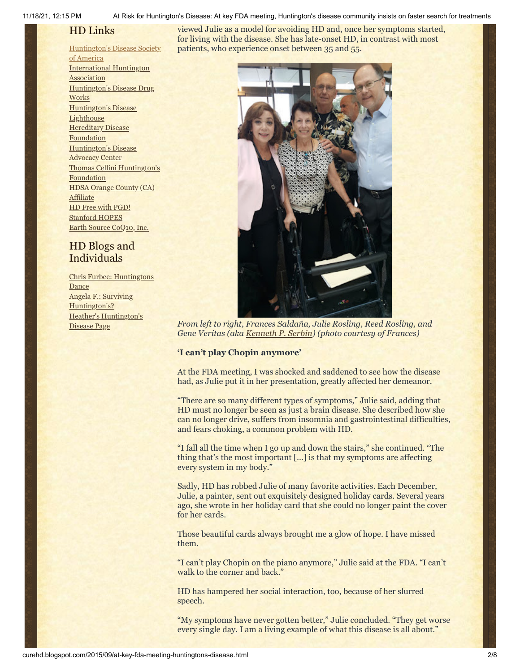11/18/21, 12:15 PM At Risk for Huntington's Disease: At key FDA meeting, Huntington's disease community insists on faster search for treatments

# HD Links

# [Huntington's](http://www.hdsa.org/) Disease Society

of America [International](http://www.huntington-assoc.com/) Huntington **Association** [Huntington's](http://hddrugworks.org/) Disease Drug **Works** [Huntington's](http://www.hdlighthouse.org/) Disease **Lighthouse Hereditary Disease** [Foundation](http://www.hdfoundation.org/) [Huntington's](http://www.hdac.org/) Disease Advocacy Center Thomas [Cellini Huntington's](http://www.ourtchfoundation.org/) **Foundation** HDSA Orange County (CA) **[Affiliate](http://www.hdsaoc.org/)** HD Free with [PGD!](http://www.hdfreewithpgd.com/) [Stanford](http://www.stanford.edu/group/hopes/) HOPES Earth Source [CoQ10,](http://www.escoq10.com/) Inc.

# HD Blogs and Individuals

Chris Furbee: [Huntingtons](http://www.huntingtonsdance.org/) Dance Angela F.: Surviving [Huntington's?](http://survivinghuntingtons.blogspot.com/) Heather's [Huntington's](http://heatherdugdale.angelfire.com/) Disease Page

viewed Julie as a model for avoiding HD and, once her symptoms started, for living with the disease. She has late-onset HD, in contrast with most patients, who experience onset between 35 and 55.



*From left to right, Frances Saldaña, Julie Rosling, Reed Rosling, and Gene Veritas (aka [Kenneth P. Serbin\)](http://www.sandiego.edu/cas/history/faculty/biography.php?ID=137) (photo courtesy of Frances)*

# **'I can't play Chopin anymore'**

At the FDA meeting, I was shocked and saddened to see how the disease had, as Julie put it in her presentation, greatly affected her demeanor.

"There are so many different types of symptoms," Julie said, adding that HD must no longer be seen as just a brain disease. She described how she can no longer drive, suffers from insomnia and gastrointestinal difficulties, and fears choking, a common problem with HD.

"I fall all the time when I go up and down the stairs," she continued. "The thing that's the most important […] is that my symptoms are affecting every system in my body."

Sadly, HD has robbed Julie of many favorite activities. Each December, Julie, a painter, sent out exquisitely designed holiday cards. Several years ago, she wrote in her holiday card that she could no longer paint the cover for her cards.

Those beautiful cards always brought me a glow of hope. I have missed them.

"I can't play Chopin on the piano anymore," Julie said at the FDA. "I can't walk to the corner and back."

HD has hampered her social interaction, too, because of her slurred speech.

"My symptoms have never gotten better," Julie concluded. "They get worse every single day. I am a living example of what this disease is all about."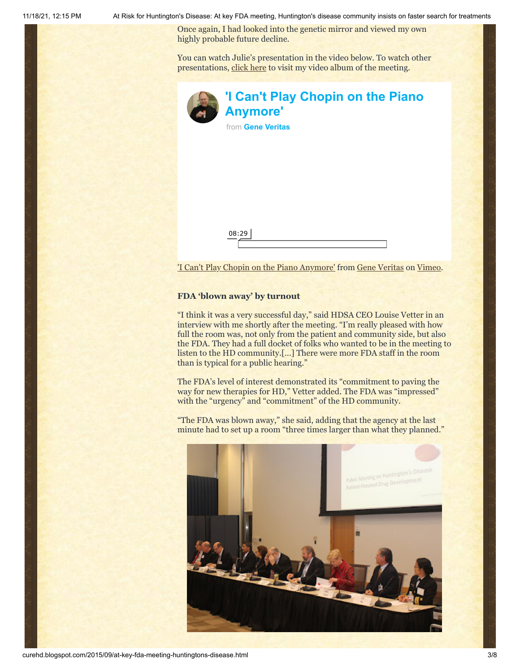11/18/21, 12:15 PM At Risk for Huntington's Disease: At key FDA meeting, Huntington's disease community insists on faster search for treatments

Once again, I had looked into the genetic mirror and viewed my own highly probable future decline.

You can watch Julie's presentation in the video below. To watch other presentations, [click here](https://vimeo.com/album/3588596) to visit my video album of the meeting.

| 'I Can't Play Chopin on the Piano<br><b>Anymore'</b> |
|------------------------------------------------------|
| from Gene Veritas                                    |
|                                                      |
|                                                      |
|                                                      |
|                                                      |
|                                                      |
|                                                      |
| 08:29                                                |
|                                                      |

['I Can't Play Chopin on the Piano Anymore'](https://vimeo.com/140580157) from [Gene Veritas](https://vimeo.com/user6019843) on [Vimeo.](https://vimeo.com/)

# **FDA 'blown away' by turnout**

"I think it was a very successful day," said HDSA CEO Louise Vetter in an interview with me shortly after the meeting. "I'm really pleased with how full the room was, not only from the patient and community side, but also the FDA. They had a full docket of folks who wanted to be in the meeting to listen to the HD community.[…] There were more FDA staff in the room than is typical for a public hearing."

The FDA's level of interest demonstrated its "commitment to paving the way for new therapies for HD," Vetter added. The FDA was "impressed" with the "urgency" and "commitment" of the HD community.

"The FDA was blown away," she said, adding that the agency at the last minute had to set up a room "three times larger than what they planned."

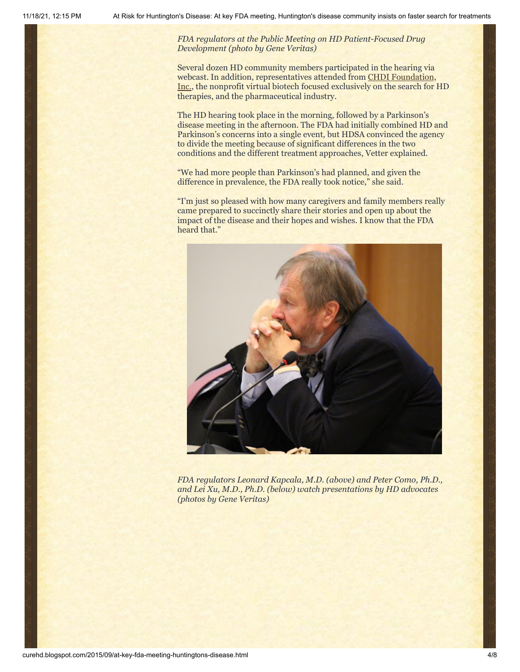*FDA regulators at the Public Meeting on HD Patient-Focused Drug Development (photo by Gene Veritas)*

Several dozen HD community members participated in the hearing via webcast. In addition, representatives attended from CHDI Foundation, Inc., the nonprofit [virtual biotech focused exclusively on the search for H](http://chdifoundation.org/)D therapies, and the pharmaceutical industry.

The HD hearing took place in the morning, followed by a Parkinson's disease meeting in the afternoon. The FDA had initially combined HD and Parkinson's concerns into a single event, but HDSA convinced the agency to divide the meeting because of significant differences in the two conditions and the different treatment approaches, Vetter explained.

"We had more people than Parkinson's had planned, and given the difference in prevalence, the FDA really took notice," she said.

"I'm just so pleased with how many caregivers and family members really came prepared to succinctly share their stories and open up about the impact of the disease and their hopes and wishes. I know that the FDA heard that."



*FDA regulators Leonard Kapcala, M.D. (above) and Peter Como, Ph.D., and Lei Xu, M.D., Ph.D. (below) watch presentations by HD advocates (photos by Gene Veritas)*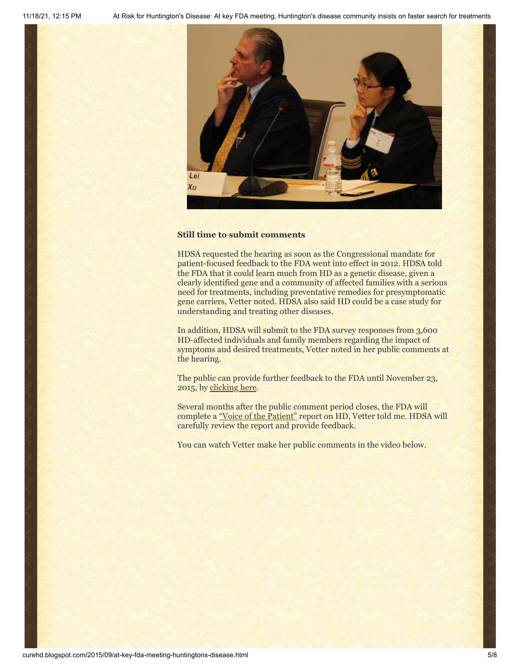

### **Still time to submit comments**

HDSA requested the hearing as soon as the Congressional mandate for patient-focused feedback to the FDA went into effect in 2012. HDSA told the FDA that it could learn much from HD as a genetic disease, given a clearly identified gene and a community of affected families with a serious need for treatments, including preventative remedies for presymptomatic gene carriers, Vetter noted. HDSA also said HD could be a case study for understanding and treating other diseases.

In addition, HDSA will submit to the FDA survey responses from 3,600 HD-affected individuals and family members regarding the impact of symptoms and desired treatments, Vetter noted in her public comments at the hearing.

The public can provide further feedback to the FDA until November 23, 2015, by [clicking here](http://www.regulations.gov/#!documentDetail;D=FDA-2012-N-0967-0747).

Several months after the public comment period closes, the FDA will complete a ["Voice of the Patient"](http://www.fda.gov/ForIndustry/UserFees/PrescriptionDrugUserFee/ucm368342.htm) report on HD, Vetter told me. HDSA will carefully review the report and provide feedback.

You can watch Vetter make her public comments in the video below.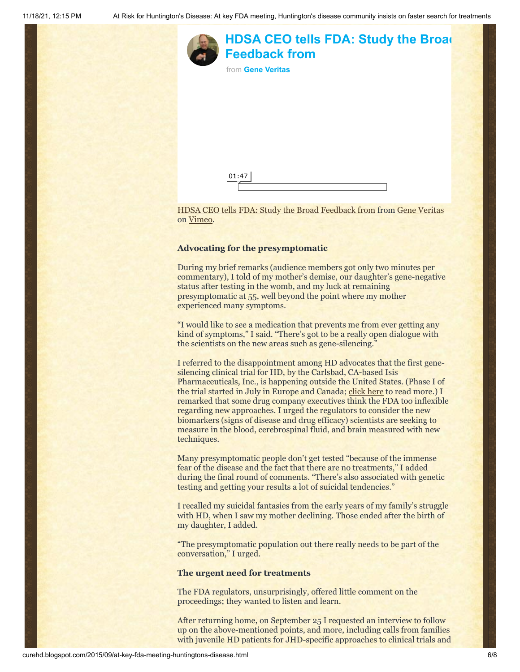

### **Advocating for the presymptomatic**

During my brief remarks (audience members got only two minutes per commentary), I told of my mother's demise, our daughter's gene-negative status after testing in the womb, and my luck at remaining presymptomatic at 55, well beyond the point where my mother experienced many symptoms.

"I would like to see a medication that prevents me from ever getting any kind of symptoms," I said. "There's got to be a really open dialogue with the scientists on the new areas such as gene-silencing."

I referred to the disappointment among HD advocates that the first genesilencing clinical trial for HD, by the Carlsbad, CA-based Isis Pharmaceuticals, Inc., is happening outside the United States. (Phase I of the trial started in July in Europe and Canada; [click here](http://www.curehd.blogspot.com/2015/07/isis-pharmaceuticals-launches-historic.html) to read more.) I remarked that some drug company executives think the FDA too inflexible regarding new approaches. I urged the regulators to consider the new biomarkers (signs of disease and drug efficacy) scientists are seeking to measure in the blood, cerebrospinal fluid, and brain measured with new techniques.

Many presymptomatic people don't get tested "because of the immense fear of the disease and the fact that there are no treatments," I added during the final round of comments. "There's also associated with genetic testing and getting your results a lot of suicidal tendencies."

I recalled my suicidal fantasies from the early years of my family's struggle with HD, when I saw my mother declining. Those ended after the birth of my daughter, I added.

"The presymptomatic population out there really needs to be part of the conversation," I urged.

### **The urgent need for treatments**

The FDA regulators, unsurprisingly, offered little comment on the proceedings; they wanted to listen and learn.

After returning home, on September 25 I requested an interview to follow up on the above-mentioned points, and more, including calls from families with juvenile HD patients for JHD-specific approaches to clinical trials and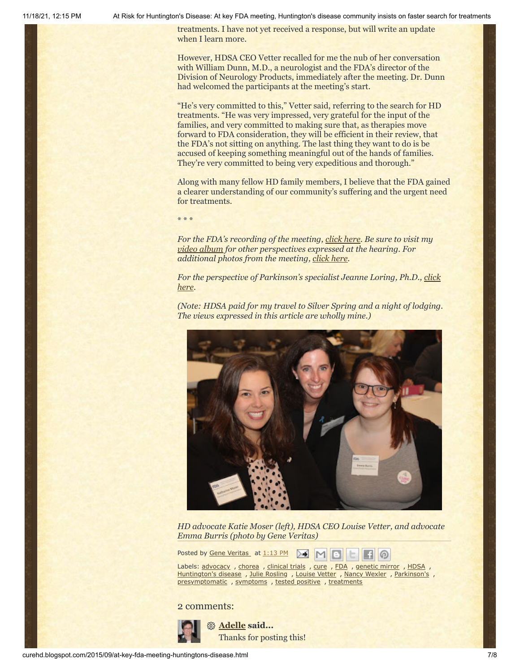11/18/21, 12:15 PM At Risk for Huntington's Disease: At key FDA meeting, Huntington's disease community insists on faster search for treatments

treatments. I have not yet received a response, but will write an update when I learn more.

However, HDSA CEO Vetter recalled for me the nub of her conversation with William Dunn, M.D., a neurologist and the FDA's director of the Division of Neurology Products, immediately after the meeting. Dr. Dunn had welcomed the participants at the meeting's start.

"He's very committed to this," Vetter said, referring to the search for HD treatments. "He was very impressed, very grateful for the input of the families, and very committed to making sure that, as therapies move forward to FDA consideration, they will be efficient in their review, that the FDA's not sitting on anything. The last thing they want to do is be accused of keeping something meaningful out of the hands of families. They're very committed to being very expeditious and thorough."

Along with many fellow HD family members, I believe that the FDA gained a clearer understanding of our community's suffering and the urgent need for treatments.

\* \* \*

*For the FDA's recording of the meeting, [click here](http://www.fda.gov/Drugs/NewsEvents/ucm451807.htm). Be sure to visit my [video album](https://vimeo.com/album/3588596) for other perspectives expressed at the hearing. For additional photos from the meeting, [click here](https://picasaweb.google.com/113989279369711529020/2105FDAPublicMeetingOnHuntingtonSDrugDevelopment#).*

*For the [perspective of Parkinson's specialist Jeanne Loring, Ph.D., click](http://www.ipscell.com/2015/09/patientsfda/) here.*

*(Note: HDSA paid for my travel to Silver Spring and a night of lodging. The views expressed in this article are wholly mine.)*



*HD advocate Katie Moser (left), HDSA CEO Louise Vetter, and advocate Emma Burris (photo by Gene Veritas)*

Posted by Gene [Veritas](https://www.blogger.com/profile/03599828959793084715) at [1:13](http://curehd.blogspot.com/2015/09/at-key-fda-meeting-huntingtons-disease.html) PM ≻€

Labels: [advocacy](http://curehd.blogspot.com/search/label/advocacy) , [chorea](http://curehd.blogspot.com/search/label/chorea) , [clinical](http://curehd.blogspot.com/search/label/clinical%20trials) trials , [cure](http://curehd.blogspot.com/search/label/cure) , [FDA](http://curehd.blogspot.com/search/label/FDA) , [genetic](http://curehd.blogspot.com/search/label/genetic%20mirror) mirror , [HDSA](http://curehd.blogspot.com/search/label/HDSA) , [Huntington's](http://curehd.blogspot.com/search/label/Huntington%27s%20disease) disease, Julie [Rosling](http://curehd.blogspot.com/search/label/Julie%20Rosling), [Louise](http://curehd.blogspot.com/search/label/Louise%20Vetter) Vetter, Nancy [Wexler](http://curehd.blogspot.com/search/label/Nancy%20Wexler), [Parkinson's](http://curehd.blogspot.com/search/label/Parkinson%27s), [presymptomatic](http://curehd.blogspot.com/search/label/presymptomatic) , [symptoms](http://curehd.blogspot.com/search/label/symptoms) , tested [positive](http://curehd.blogspot.com/search/label/tested%20positive) , [treatments](http://curehd.blogspot.com/search/label/treatments)

2 comments:



**[Adelle](https://www.blogger.com/profile/02514702407736792897) said...** Thanks for posting this!